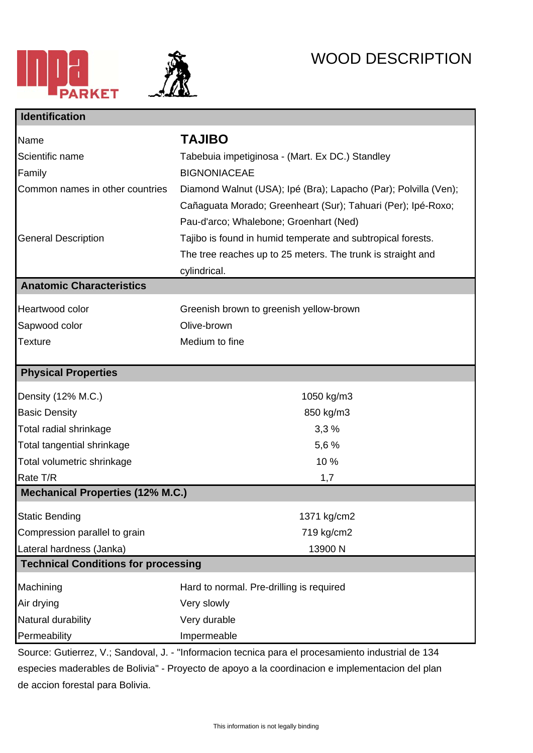



## WOOD DESCRIPTION

| <b>Identification</b>                      |                                                                 |
|--------------------------------------------|-----------------------------------------------------------------|
| Name                                       | <b>TAJIBO</b>                                                   |
| Scientific name                            | Tabebuia impetiginosa - (Mart. Ex DC.) Standley                 |
| Family                                     | <b>BIGNONIACEAE</b>                                             |
| Common names in other countries            | Diamond Walnut (USA); Ipé (Bra); Lapacho (Par); Polvilla (Ven); |
|                                            | Cañaguata Morado; Greenheart (Sur); Tahuari (Per); Ipé-Roxo;    |
|                                            | Pau-d'arco; Whalebone; Groenhart (Ned)                          |
| <b>General Description</b>                 | Tajibo is found in humid temperate and subtropical forests.     |
|                                            | The tree reaches up to 25 meters. The trunk is straight and     |
|                                            | cylindrical.                                                    |
| <b>Anatomic Characteristics</b>            |                                                                 |
| Heartwood color                            | Greenish brown to greenish yellow-brown                         |
| Sapwood color                              | Olive-brown                                                     |
| <b>Texture</b>                             | Medium to fine                                                  |
| <b>Physical Properties</b>                 |                                                                 |
| Density (12% M.C.)                         | 1050 kg/m3                                                      |
| <b>Basic Density</b>                       | 850 kg/m3                                                       |
| Total radial shrinkage                     | 3,3%                                                            |
| Total tangential shrinkage                 | 5,6 %                                                           |
| Total volumetric shrinkage                 | 10%                                                             |
| Rate T/R                                   | 1,7                                                             |
| <b>Mechanical Properties (12% M.C.)</b>    |                                                                 |
| <b>Static Bending</b>                      | 1371 kg/cm2                                                     |
| Compression parallel to grain              | 719 kg/cm2                                                      |
| Lateral hardness (Janka)                   | 13900 N                                                         |
| <b>Technical Conditions for processing</b> |                                                                 |
| Machining                                  | Hard to normal. Pre-drilling is required                        |
| Air drying                                 | Very slowly                                                     |
| Natural durability                         | Very durable                                                    |
| Permeability                               | Impermeable                                                     |

Source: Gutierrez, V.; Sandoval, J. - "Informacion tecnica para el procesamiento industrial de 134 especies maderables de Bolivia" - Proyecto de apoyo a la coordinacion e implementacion del plan de accion forestal para Bolivia.